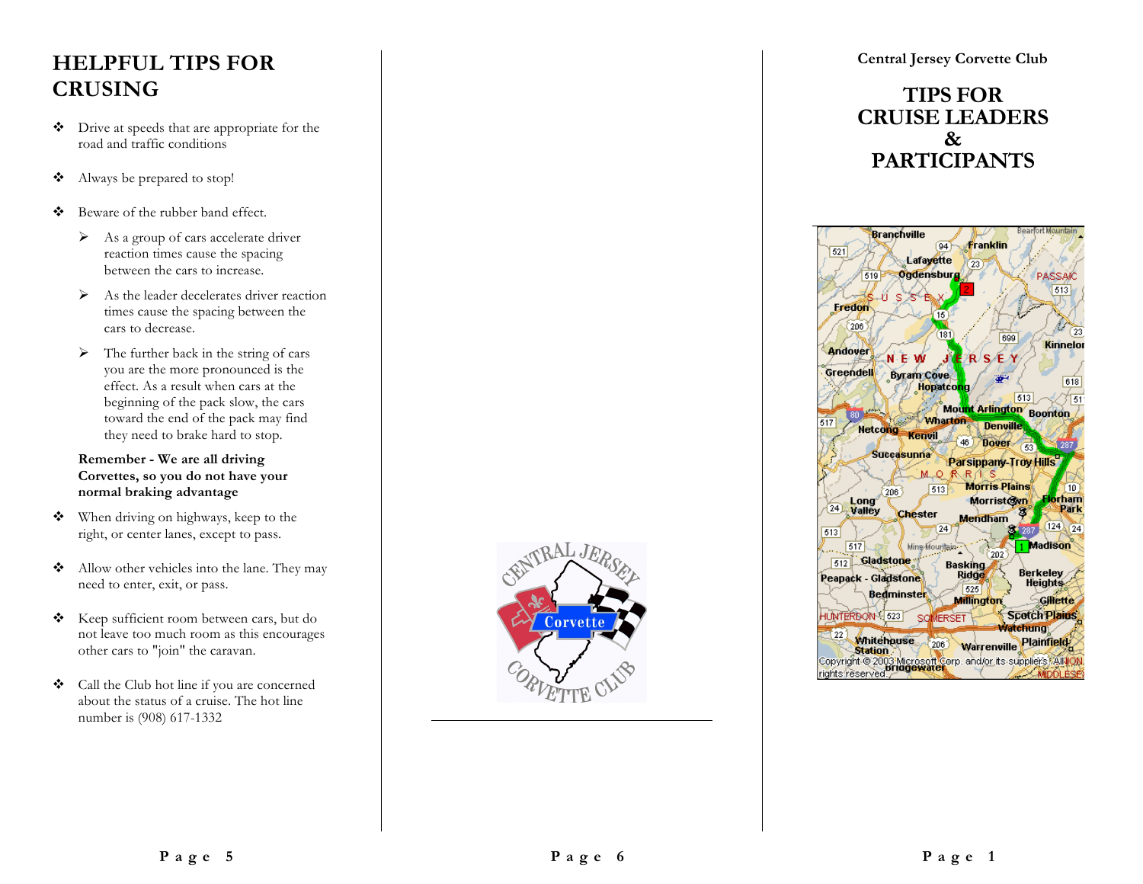# **HELPFUL TIPS FOR CRUSING**

- ! Drive at speeds that are appropriate for the road and traffic conditions
- ! Always be prepared to stop!
- $\div$  Beware of the rubber band effect.
	- $\triangleright$  As a group of cars accelerate driver reaction times cause the spacing between the cars to increase.
	- $\triangleright$  As the leader decelerates driver reaction times cause the spacing between the cars to decrease.
	- $\triangleright$  The further back in the string of cars you are the more pronounced is the effect. As a result when cars at the beginning of the pack slow, the cars toward the end of the pack may find they need to brake hard to stop.

#### **Remember - We are all driving Corvettes, so you do not have your normal braking advantage**

- ! When driving on highways, keep to the right, or center lanes, except to pass.
- \* Allow other vehicles into the lane. They may need to enter, exit, or pass.
- \* Keep sufficient room between cars, but do not leave too much room as this encourages other cars to "join" the caravan.
- $\triangleleft$  Call the Club hot line if you are concerned about the status of a cruise. The hot line number is (908) 617-1332



**Central Jersey Corvette Club**

### **TIPS FOR CRUISE LEADERS & PARTICIPANTS**